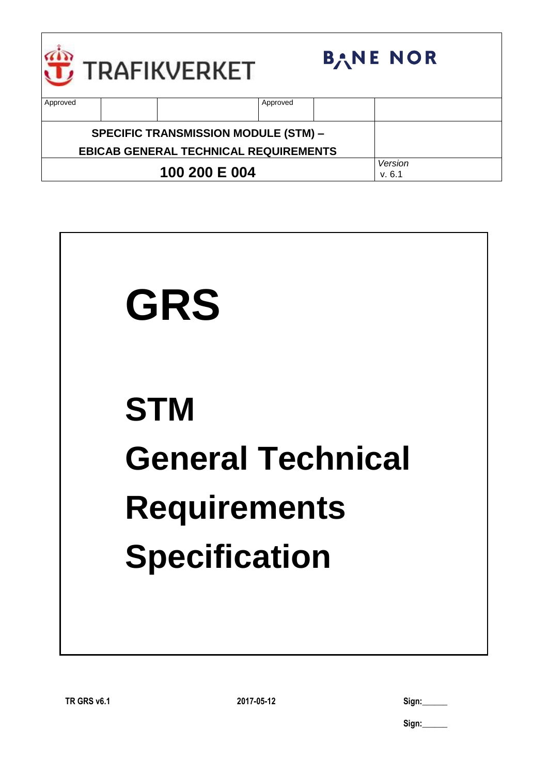|                                                                                             |                                   | $Ti$ TRAFIKVERKET |          |  | <b>BANE NOR</b> |
|---------------------------------------------------------------------------------------------|-----------------------------------|-------------------|----------|--|-----------------|
| Approved                                                                                    |                                   |                   | Approved |  |                 |
| <b>SPECIFIC TRANSMISSION MODULE (STM) -</b><br><b>EBICAB GENERAL TECHNICAL REQUIREMENTS</b> |                                   |                   |          |  |                 |
|                                                                                             | Version<br>100 200 E 004<br>v.6.1 |                   |          |  |                 |



**TR GRS v6.1 2017-05-12 Sign:\_\_\_\_\_\_**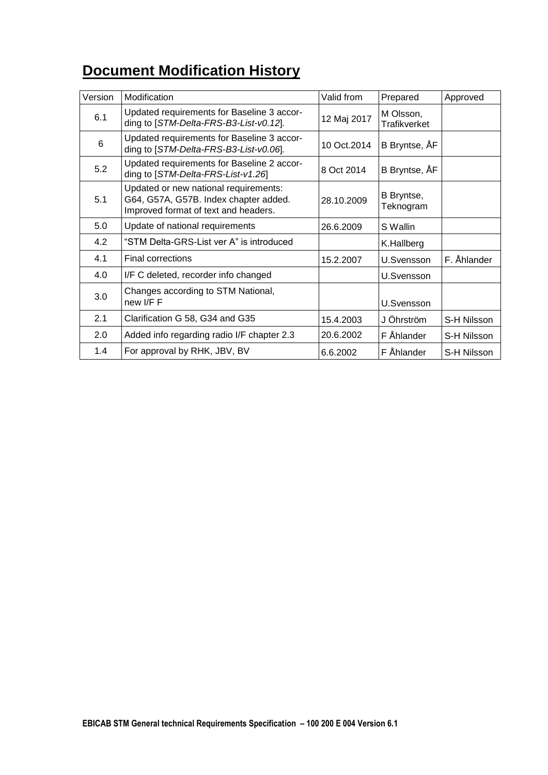# **Document Modification History**

| Version | Modification                                                                                                           | Valid from  | Prepared                  | Approved    |
|---------|------------------------------------------------------------------------------------------------------------------------|-------------|---------------------------|-------------|
| 6.1     | Updated requirements for Baseline 3 accor-<br>ding to [STM-Delta-FRS-B3-List-v0.12].                                   | 12 Maj 2017 | M Olsson,<br>Trafikverket |             |
| 6       | Updated requirements for Baseline 3 accor-<br>ding to [STM-Delta-FRS-B3-List-v0.06].                                   | 10 Oct.2014 | B Bryntse, ÅF             |             |
| 5.2     | Updated requirements for Baseline 2 accor-<br>ding to [STM-Delta-FRS-List-v1.26]                                       | 8 Oct 2014  | B Bryntse, ÅF             |             |
| 5.1     | Updated or new national requirements:<br>G64, G57A, G57B. Index chapter added.<br>Improved format of text and headers. | 28.10.2009  | B Bryntse,<br>Teknogram   |             |
| 5.0     | Update of national requirements                                                                                        | 26.6.2009   | S Wallin                  |             |
| 4.2     | "STM Delta-GRS-List ver A" is introduced                                                                               |             | K.Hallberg                |             |
| 4.1     | <b>Final corrections</b>                                                                                               | 15.2.2007   | U.Svensson                | F. Åhlander |
| 4.0     | I/F C deleted, recorder info changed                                                                                   |             | U.Svensson                |             |
| 3.0     | Changes according to STM National,<br>new I/F F                                                                        |             | U.Svensson                |             |
| 2.1     | Clarification G 58, G34 and G35                                                                                        | 15.4.2003   | J Öhrström                | S-H Nilsson |
| 2.0     | Added info regarding radio I/F chapter 2.3                                                                             | 20.6.2002   | F Åhlander                | S-H Nilsson |
| 1.4     | For approval by RHK, JBV, BV                                                                                           | 6.6.2002    | F Åhlander                | S-H Nilsson |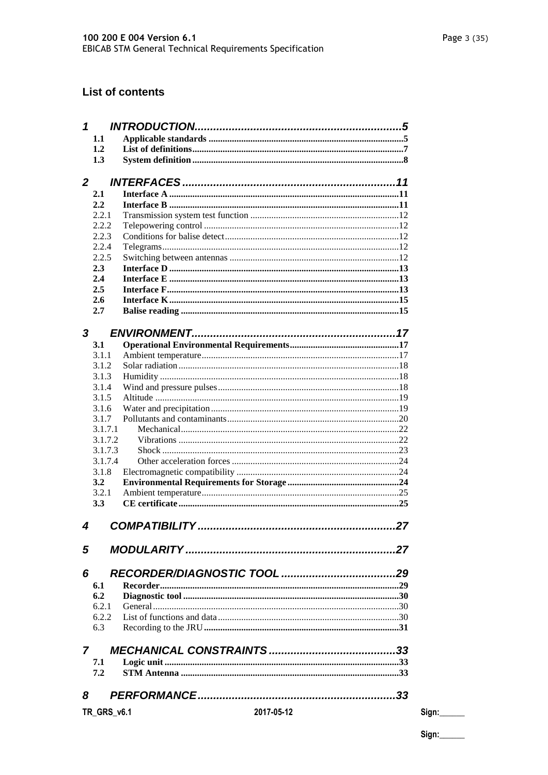## **List of contents**

| 1              |              |                              |  |
|----------------|--------------|------------------------------|--|
|                | 1.1          |                              |  |
|                | 1.2          |                              |  |
|                | 1.3          |                              |  |
|                |              |                              |  |
| $\overline{2}$ |              |                              |  |
|                | 2.1          |                              |  |
|                | 2.2          |                              |  |
|                | 2.2.1        |                              |  |
|                | 2.2.2        |                              |  |
|                | 2.2.3        |                              |  |
|                | 2.2.4        |                              |  |
|                | 2.2.5        |                              |  |
|                | 2.3          |                              |  |
|                | 2.4          |                              |  |
|                | 2.5          |                              |  |
|                | 2.6          |                              |  |
|                | 2.7          |                              |  |
|                |              |                              |  |
| $\mathbf{3}$   |              |                              |  |
|                | 3.1          |                              |  |
|                | 3.1.1        |                              |  |
|                | 3.1.2        |                              |  |
|                | 3.1.3        |                              |  |
|                | 3.1.4        |                              |  |
|                | 3.1.5        |                              |  |
|                | 3.1.6        |                              |  |
|                | 3.1.7        |                              |  |
|                | 3.1.7.1      |                              |  |
|                | 3.1.7.2      |                              |  |
|                | 3.1.7.3      |                              |  |
|                | 3.1.7.4      |                              |  |
|                | 3.1.8<br>3.2 |                              |  |
|                | 3.2.1        |                              |  |
|                | 3.3          |                              |  |
|                |              |                              |  |
| 4              |              | <b>COMPATIBILITY.</b><br>.27 |  |
|                |              |                              |  |
| 5              |              |                              |  |
|                |              |                              |  |
| 6              |              |                              |  |
|                | 6.1          |                              |  |
|                | 6.2          |                              |  |
|                | 6.2.1        |                              |  |
|                | 6.2.2        |                              |  |
|                | 6.3          |                              |  |
|                |              |                              |  |
| $\mathbf{z}$   |              |                              |  |
|                | 7.1          |                              |  |
|                | 7.2          |                              |  |
|                |              |                              |  |
| 8              |              |                              |  |
|                |              |                              |  |
|                | TR_GRS_v6.1  | 2017-05-12                   |  |

Sign: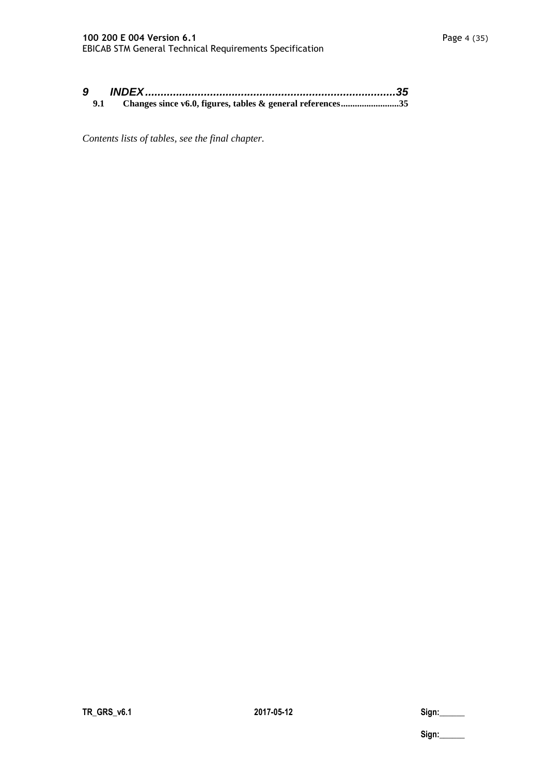| 9   |                                                            |  |
|-----|------------------------------------------------------------|--|
| 9.1 | Changes since v6.0, figures, tables & general references35 |  |

*Contents lists of tables, see the final chapter.*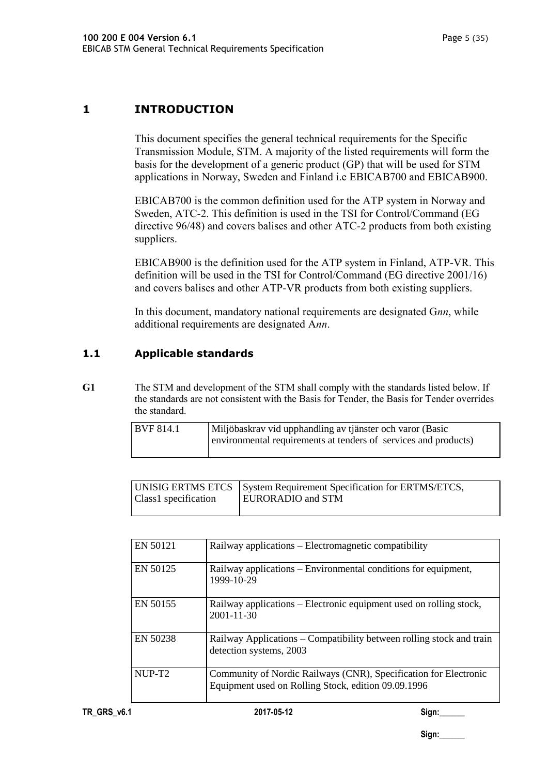## **1 INTRODUCTION**

This document specifies the general technical requirements for the Specific Transmission Module, STM. A majority of the listed requirements will form the basis for the development of a generic product (GP) that will be used for STM applications in Norway, Sweden and Finland i.e EBICAB700 and EBICAB900.

EBICAB700 is the common definition used for the ATP system in Norway and Sweden, ATC-2. This definition is used in the TSI for Control/Command (EG directive 96/48) and covers balises and other ATC-2 products from both existing suppliers.

EBICAB900 is the definition used for the ATP system in Finland, ATP-VR. This definition will be used in the TSI for Control/Command (EG directive 2001/16) and covers balises and other ATP-VR products from both existing suppliers.

In this document, mandatory national requirements are designated G*nn*, while additional requirements are designated A*nn*.

## **1.1 Applicable standards**

**G1** The STM and development of the STM shall comply with the standards listed below. If the standards are not consistent with the Basis for Tender, the Basis for Tender overrides the standard.

| BVF 814.1 | Miljöbaskrav vid upphandling av tjänster och varor (Basic<br>environmental requirements at tenders of services and products) |
|-----------|------------------------------------------------------------------------------------------------------------------------------|
|           |                                                                                                                              |

|                      | UNISIG ERTMS ETCS System Requirement Specification for ERTMS/ETCS, |
|----------------------|--------------------------------------------------------------------|
| Class1 specification | <b>EURORADIO</b> and STM                                           |
|                      |                                                                    |

| TR GRS v6.1 |                    | 2017-05-12                                                                                                              | Sign: |
|-------------|--------------------|-------------------------------------------------------------------------------------------------------------------------|-------|
|             | NUP-T <sub>2</sub> | Community of Nordic Railways (CNR), Specification for Electronic<br>Equipment used on Rolling Stock, edition 09.09.1996 |       |
|             | EN 50238           | Railway Applications – Compatibility between rolling stock and train<br>detection systems, 2003                         |       |
|             | EN 50155           | Railway applications - Electronic equipment used on rolling stock,<br>2001-11-30                                        |       |
|             | EN 50125           | Railway applications – Environmental conditions for equipment,<br>1999-10-29                                            |       |
|             | EN 50121           | Railway applications – Electromagnetic compatibility                                                                    |       |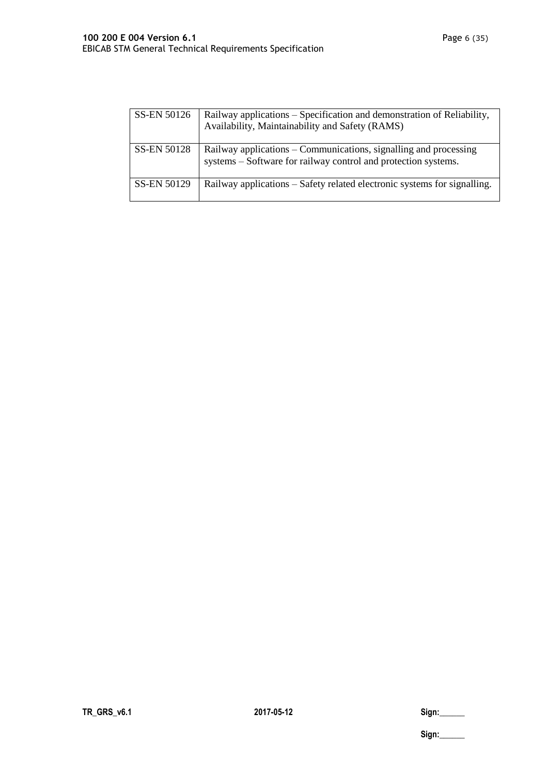| <b>SS-EN 50126</b> | Railway applications - Specification and demonstration of Reliability,<br>Availability, Maintainability and Safety (RAMS)          |
|--------------------|------------------------------------------------------------------------------------------------------------------------------------|
| <b>SS-EN 50128</b> | Railway applications – Communications, signalling and processing<br>systems – Software for railway control and protection systems. |
| <b>SS-EN 50129</b> | Railway applications – Safety related electronic systems for signalling.                                                           |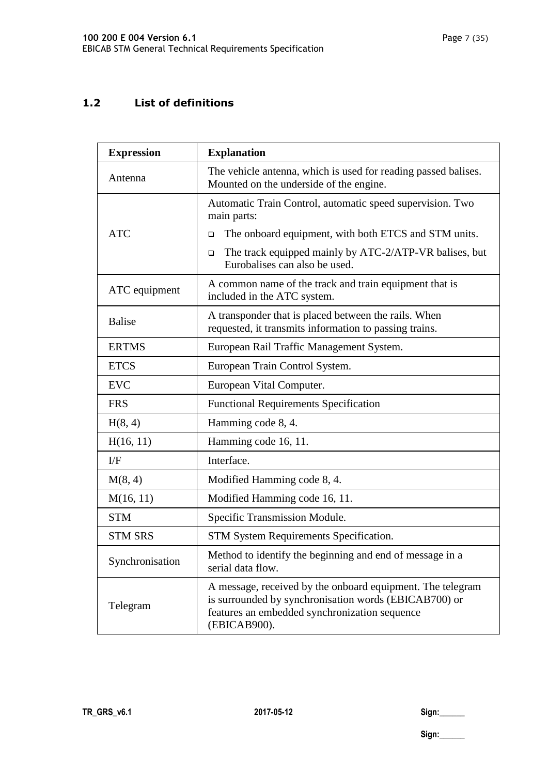## **1.2 List of definitions**

| <b>Expression</b> | <b>Explanation</b>                                                                                                                                                                   |  |
|-------------------|--------------------------------------------------------------------------------------------------------------------------------------------------------------------------------------|--|
| Antenna           | The vehicle antenna, which is used for reading passed balises.<br>Mounted on the underside of the engine.                                                                            |  |
|                   | Automatic Train Control, automatic speed supervision. Two<br>main parts:                                                                                                             |  |
| <b>ATC</b>        | The onboard equipment, with both ETCS and STM units.<br>□                                                                                                                            |  |
|                   | The track equipped mainly by ATC-2/ATP-VR balises, but<br>$\Box$<br>Eurobalises can also be used.                                                                                    |  |
| ATC equipment     | A common name of the track and train equipment that is<br>included in the ATC system.                                                                                                |  |
| <b>Balise</b>     | A transponder that is placed between the rails. When<br>requested, it transmits information to passing trains.                                                                       |  |
| <b>ERTMS</b>      | European Rail Traffic Management System.                                                                                                                                             |  |
| <b>ETCS</b>       | European Train Control System.                                                                                                                                                       |  |
| <b>EVC</b>        | European Vital Computer.                                                                                                                                                             |  |
| <b>FRS</b>        | <b>Functional Requirements Specification</b>                                                                                                                                         |  |
| H(8, 4)           | Hamming code 8, 4.                                                                                                                                                                   |  |
| H(16, 11)         | Hamming code 16, 11.                                                                                                                                                                 |  |
| $\Gamma$          | Interface.                                                                                                                                                                           |  |
| M(8, 4)           | Modified Hamming code 8, 4.                                                                                                                                                          |  |
| M(16, 11)         | Modified Hamming code 16, 11.                                                                                                                                                        |  |
| <b>STM</b>        | Specific Transmission Module.                                                                                                                                                        |  |
| <b>STM SRS</b>    | STM System Requirements Specification.                                                                                                                                               |  |
| Synchronisation   | Method to identify the beginning and end of message in a<br>serial data flow.                                                                                                        |  |
| Telegram          | A message, received by the onboard equipment. The telegram<br>is surrounded by synchronisation words (EBICAB700) or<br>features an embedded synchronization sequence<br>(EBICAB900). |  |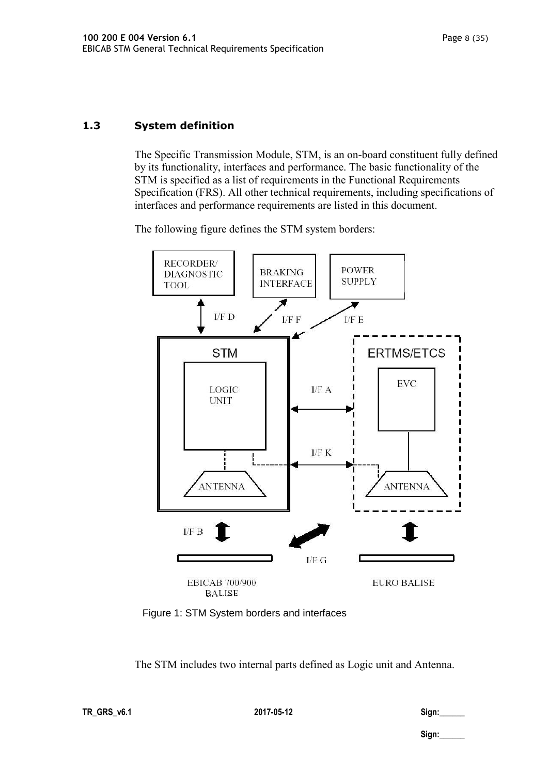## **1.3 System definition**

The Specific Transmission Module, STM, is an on-board constituent fully defined by its functionality, interfaces and performance. The basic functionality of the STM is specified as a list of requirements in the Functional Requirements Specification (FRS). All other technical requirements, including specifications of interfaces and performance requirements are listed in this document.

The following figure defines the STM system borders:



Figure 1: STM System borders and interfaces

The STM includes two internal parts defined as Logic unit and Antenna.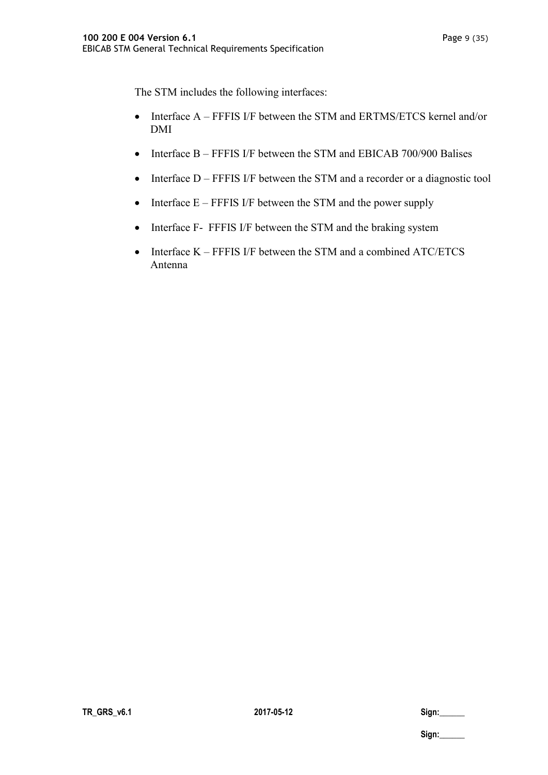The STM includes the following interfaces:

- Interface A FFFIS I/F between the STM and ERTMS/ETCS kernel and/or DMI
- Interface  $B FFFIS$  I/F between the STM and EBICAB 700/900 Balises
- Interface D FFFIS I/F between the STM and a recorder or a diagnostic tool
- Interface  $E FFFIS$  I/F between the STM and the power supply
- Interface F- FFFIS I/F between the STM and the braking system
- $\bullet$  Interface K FFFIS I/F between the STM and a combined ATC/ETCS Antenna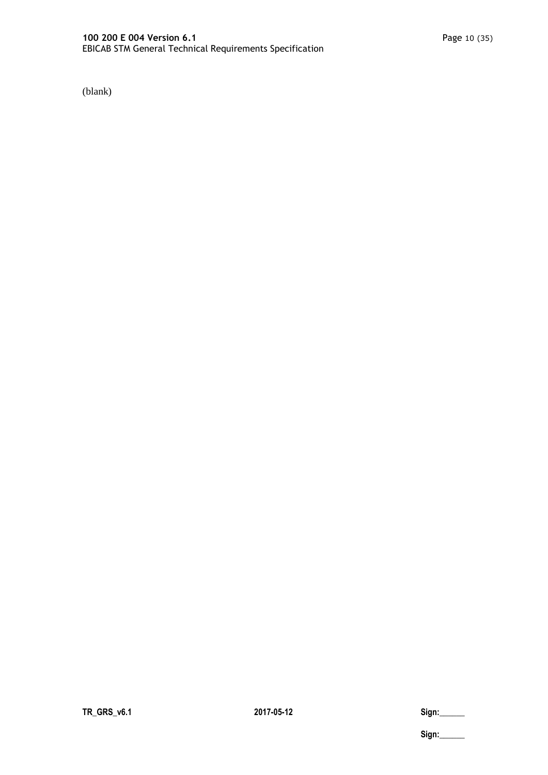(blank)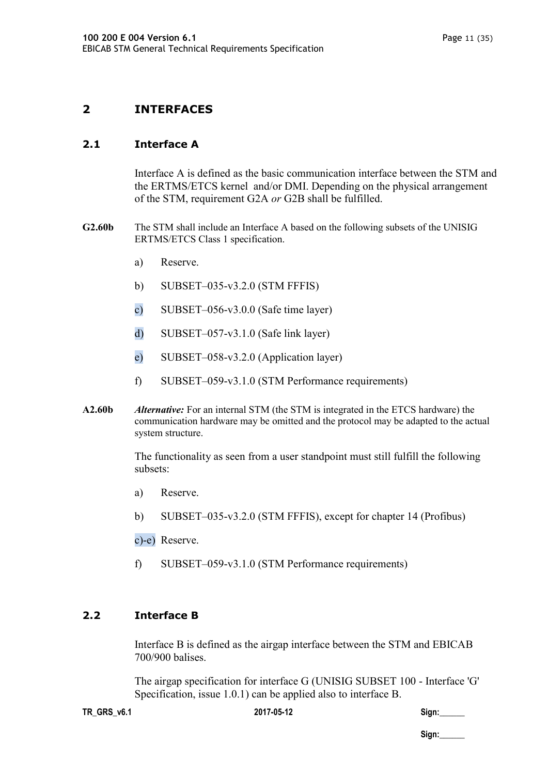## **2 INTERFACES**

## **2.1 Interface A**

Interface A is defined as the basic communication interface between the STM and the ERTMS/ETCS kernel and/or DMI. Depending on the physical arrangement of the STM, requirement G2A *or* G2B shall be fulfilled.

- **G2.60b** The STM shall include an Interface A based on the following subsets of the UNISIG ERTMS/ETCS Class 1 specification.
	- a) Reserve.
	- b) SUBSET–035-v3.2.0 (STM FFFIS)
	- c) SUBSET–056-v3.0.0 (Safe time layer)
	- d) SUBSET–057-v3.1.0 (Safe link layer)
	- e) SUBSET–058-v3.2.0 (Application layer)
	- f) SUBSET–059-v3.1.0 (STM Performance requirements)
- **A2.60b** *Alternative:* For an internal STM (the STM is integrated in the ETCS hardware) the communication hardware may be omitted and the protocol may be adapted to the actual system structure.

The functionality as seen from a user standpoint must still fulfill the following subsets:

- a) Reserve.
- b) SUBSET–035-v3.2.0 (STM FFFIS), except for chapter 14 (Profibus)

c)-e) Reserve.

f) SUBSET–059-v3.1.0 (STM Performance requirements)

### **2.2 Interface B**

Interface B is defined as the airgap interface between the STM and EBICAB 700/900 balises.

The airgap specification for interface G (UNISIG SUBSET 100 - Interface 'G' Specification, issue 1.0.1) can be applied also to interface B.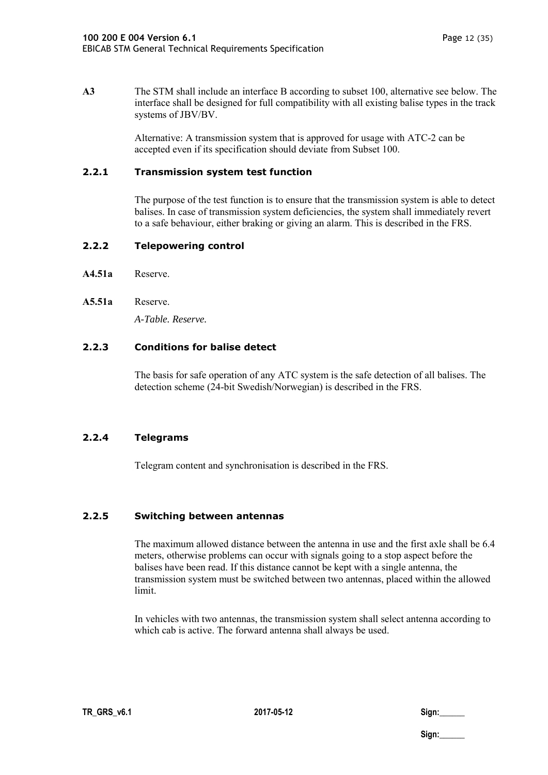**A3** The STM shall include an interface B according to subset 100, alternative see below. The interface shall be designed for full compatibility with all existing balise types in the track systems of JBV/BV.

> Alternative: A transmission system that is approved for usage with ATC-2 can be accepted even if its specification should deviate from Subset 100.

#### **2.2.1 Transmission system test function**

The purpose of the test function is to ensure that the transmission system is able to detect balises. In case of transmission system deficiencies, the system shall immediately revert to a safe behaviour, either braking or giving an alarm. This is described in the FRS.

#### **2.2.2 Telepowering control**

- **A4.51a** Reserve.
- **A5.51a** Reserve.

*A-Table. Reserve.*

#### **2.2.3 Conditions for balise detect**

The basis for safe operation of any ATC system is the safe detection of all balises. The detection scheme (24-bit Swedish/Norwegian) is described in the FRS.

#### **2.2.4 Telegrams**

Telegram content and synchronisation is described in the FRS.

#### **2.2.5 Switching between antennas**

The maximum allowed distance between the antenna in use and the first axle shall be 6.4 meters, otherwise problems can occur with signals going to a stop aspect before the balises have been read. If this distance cannot be kept with a single antenna, the transmission system must be switched between two antennas, placed within the allowed limit.

In vehicles with two antennas, the transmission system shall select antenna according to which cab is active. The forward antenna shall always be used.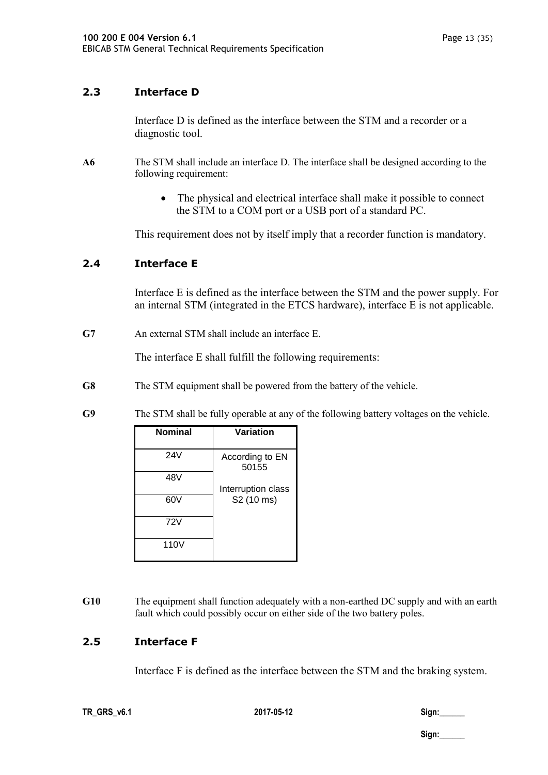### **2.3 Interface D**

Interface D is defined as the interface between the STM and a recorder or a diagnostic tool.

- **A6** The STM shall include an interface D. The interface shall be designed according to the following requirement:
	- The physical and electrical interface shall make it possible to connect the STM to a COM port or a USB port of a standard PC.

This requirement does not by itself imply that a recorder function is mandatory.

## **2.4 Interface E**

Interface E is defined as the interface between the STM and the power supply. For an internal STM (integrated in the ETCS hardware), interface E is not applicable.

**G7** An external STM shall include an interface E.

The interface E shall fulfill the following requirements:

- **G8** The STM equipment shall be powered from the battery of the vehicle.
- **G9** The STM shall be fully operable at any of the following battery voltages on the vehicle.

| <b>Nominal</b>   | <b>Variation</b>         |
|------------------|--------------------------|
| 24V              | According to EN<br>50155 |
| 48V              |                          |
|                  | Interruption class       |
| 60V              | S2 (10 ms)               |
| 72V              |                          |
| 110 <sub>V</sub> |                          |

**G10** The equipment shall function adequately with a non-earthed DC supply and with an earth fault which could possibly occur on either side of the two battery poles.

### **2.5 Interface F**

Interface F is defined as the interface between the STM and the braking system.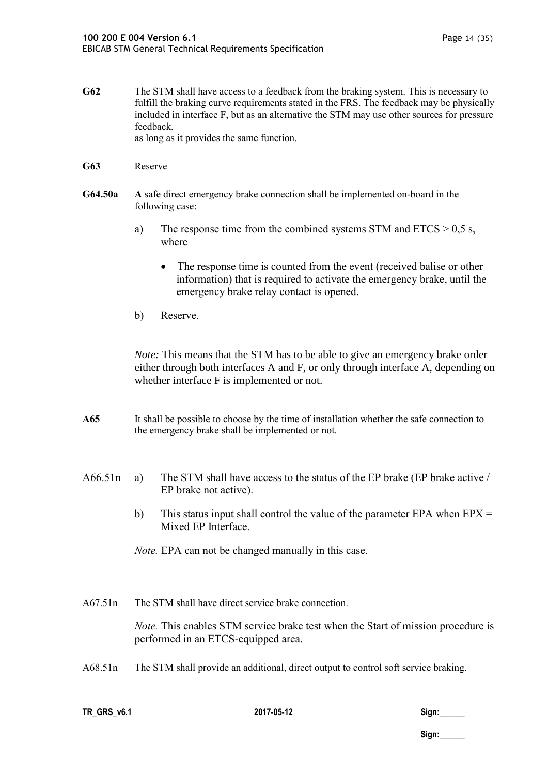- **G62** The STM shall have access to a feedback from the braking system. This is necessary to fulfill the braking curve requirements stated in the FRS. The feedback may be physically included in interface F, but as an alternative the STM may use other sources for pressure feedback, as long as it provides the same function.
- **G63** Reserve
- **G64.50a A** safe direct emergency brake connection shall be implemented on-board in the following case:
	- a) The response time from the combined systems STM and ETCS  $> 0.5$  s, where
		- The response time is counted from the event (received balise or other information) that is required to activate the emergency brake, until the emergency brake relay contact is opened.
	- b) Reserve.

*Note:* This means that the STM has to be able to give an emergency brake order either through both interfaces A and F, or only through interface A, depending on whether interface F is implemented or not.

- **A65** It shall be possible to choose by the time of installation whether the safe connection to the emergency brake shall be implemented or not.
- A66.51n a) The STM shall have access to the status of the EP brake (EP brake active / EP brake not active).
	- b) This status input shall control the value of the parameter EPA when  $EPX =$ Mixed EP Interface.

*Note.* EPA can not be changed manually in this case.

A67.51n The STM shall have direct service brake connection.

*Note.* This enables STM service brake test when the Start of mission procedure is performed in an ETCS-equipped area.

A68.51n The STM shall provide an additional, direct output to control soft service braking.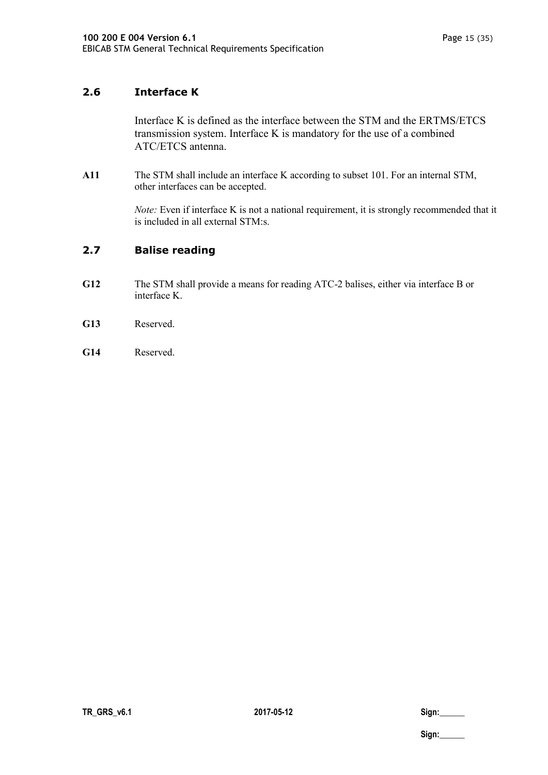### **2.6 Interface K**

Interface K is defined as the interface between the STM and the ERTMS/ETCS transmission system. Interface K is mandatory for the use of a combined ATC/ETCS antenna.

**A11** The STM shall include an interface K according to subset 101. For an internal STM, other interfaces can be accepted.

> *Note:* Even if interface K is not a national requirement, it is strongly recommended that it is included in all external STM:s.

## **2.7 Balise reading**

- **G12** The STM shall provide a means for reading ATC-2 balises, either via interface B or interface K.
- **G13** Reserved.
- **G14** Reserved.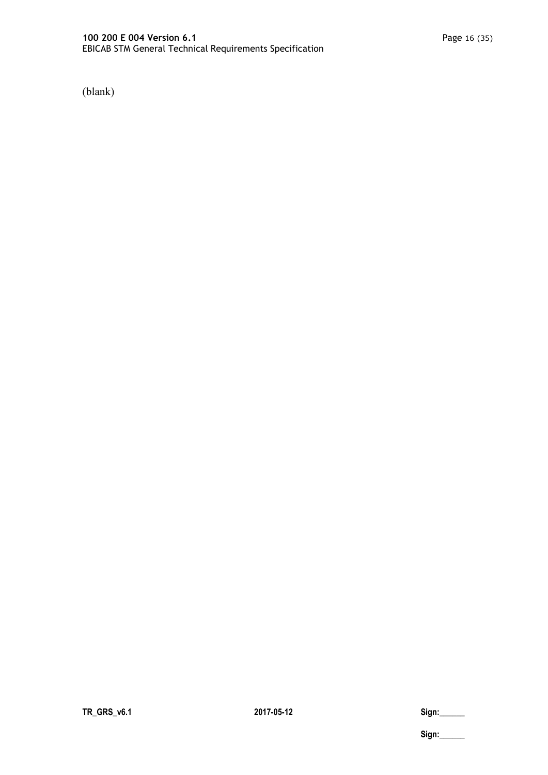(blank)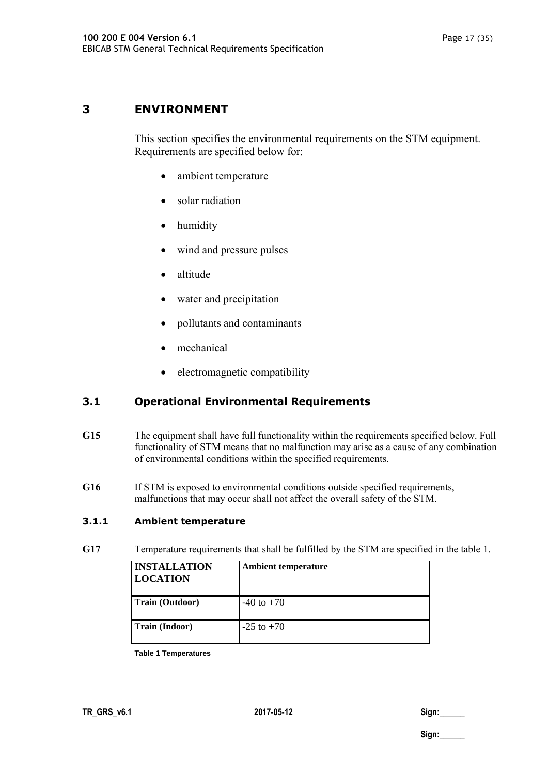## **3 ENVIRONMENT**

This section specifies the environmental requirements on the STM equipment. Requirements are specified below for:

- ambient temperature
- solar radiation
- humidity
- wind and pressure pulses
- altitude
- water and precipitation
- pollutants and contaminants
- mechanical
- electromagnetic compatibility

### **3.1 Operational Environmental Requirements**

- **G15** The equipment shall have full functionality within the requirements specified below. Full functionality of STM means that no malfunction may arise as a cause of any combination of environmental conditions within the specified requirements.
- **G16** If STM is exposed to environmental conditions outside specified requirements, malfunctions that may occur shall not affect the overall safety of the STM.

#### **3.1.1 Ambient temperature**

**G17** Temperature requirements that shall be fulfilled by the STM are specified in the table 1.

| <b>INSTALLATION</b><br><b>LOCATION</b> | <b>Ambient temperature</b> |
|----------------------------------------|----------------------------|
| <b>Train (Outdoor)</b>                 | $-40$ to $+70$             |
| <b>Train (Indoor)</b>                  | $-25$ to $+70$             |

**Table 1 Temperatures**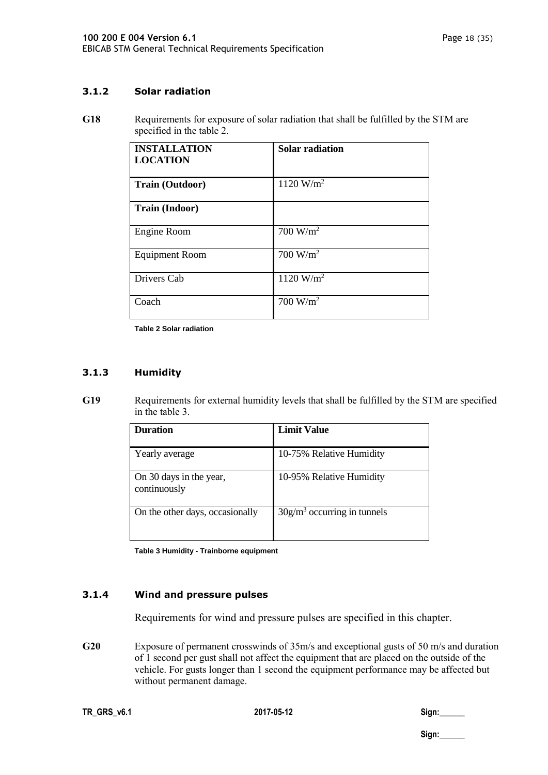## **3.1.2 Solar radiation**

**G18** Requirements for exposure of solar radiation that shall be fulfilled by the STM are specified in the table 2.

| <b>INSTALLATION</b><br><b>LOCATION</b> | <b>Solar radiation</b>            |
|----------------------------------------|-----------------------------------|
| <b>Train (Outdoor)</b>                 | 1120 $W/m^2$                      |
| <b>Train (Indoor)</b>                  |                                   |
| Engine Room                            | 700 W/m <sup>2</sup>              |
| <b>Equipment Room</b>                  | 700 W/m <sup>2</sup>              |
| Drivers Cab                            | $\frac{1}{1120}$ W/m <sup>2</sup> |
| Coach                                  | 700 W/m <sup>2</sup>              |

**Table 2 Solar radiation**

#### **3.1.3 Humidity**

**G19** Requirements for external humidity levels that shall be fulfilled by the STM are specified in the table 3.

| <b>Duration</b>                         | <b>Limit Value</b>            |
|-----------------------------------------|-------------------------------|
| Yearly average                          | 10-75% Relative Humidity      |
| On 30 days in the year,<br>continuously | 10-95% Relative Humidity      |
| On the other days, occasionally         | $30g/m3$ occurring in tunnels |

**Table 3 Humidity - Trainborne equipment**

#### **3.1.4 Wind and pressure pulses**

Requirements for wind and pressure pulses are specified in this chapter.

**G20** Exposure of permanent crosswinds of 35m/s and exceptional gusts of 50 m/s and duration of 1 second per gust shall not affect the equipment that are placed on the outside of the vehicle. For gusts longer than 1 second the equipment performance may be affected but without permanent damage.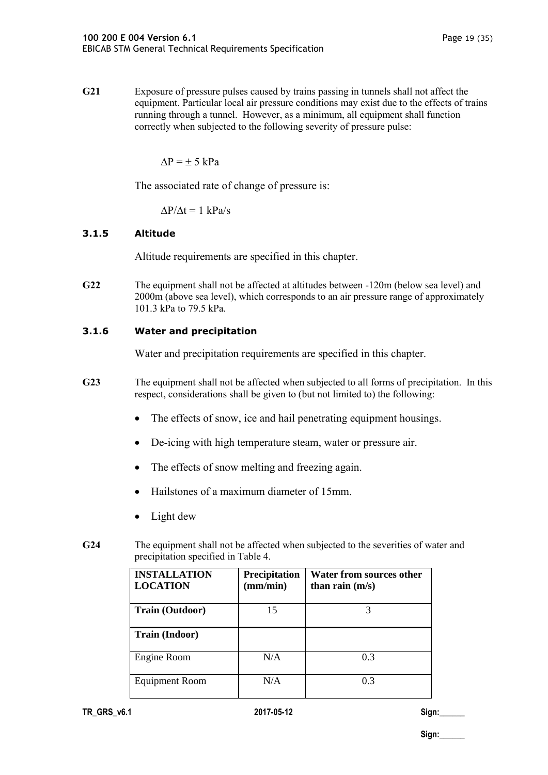**G21** Exposure of pressure pulses caused by trains passing in tunnels shall not affect the equipment. Particular local air pressure conditions may exist due to the effects of trains running through a tunnel. However, as a minimum, all equipment shall function correctly when subjected to the following severity of pressure pulse:

 $AP = \pm 5$  kPa

The associated rate of change of pressure is:

 $AP/\Delta t = 1$  kPa/s

### **3.1.5 Altitude**

Altitude requirements are specified in this chapter.

**G22** The equipment shall not be affected at altitudes between -120m (below sea level) and 2000m (above sea level), which corresponds to an air pressure range of approximately 101.3 kPa to 79.5 kPa.

#### **3.1.6 Water and precipitation**

Water and precipitation requirements are specified in this chapter.

- **G23** The equipment shall not be affected when subjected to all forms of precipitation. In this respect, considerations shall be given to (but not limited to) the following:
	- The effects of snow, ice and hail penetrating equipment housings.
	- De-icing with high temperature steam, water or pressure air.
	- The effects of snow melting and freezing again.
	- Hailstones of a maximum diameter of 15mm.
	- Light dew
- **G24** The equipment shall not be affected when subjected to the severities of water and precipitation specified in Table 4.

| <b>INSTALLATION</b><br><b>LOCATION</b> | Precipitation<br>(mm/min) | Water from sources other<br>than rain $(m/s)$ |
|----------------------------------------|---------------------------|-----------------------------------------------|
| <b>Train (Outdoor)</b>                 | 15                        |                                               |
| <b>Train (Indoor)</b>                  |                           |                                               |
| Engine Room                            | N/A                       | 0.3                                           |
| <b>Equipment Room</b>                  | N/A                       | 0.3                                           |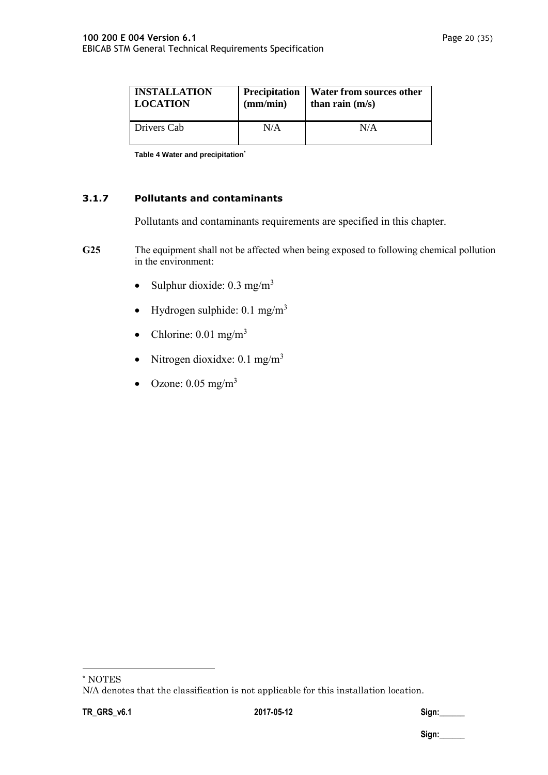| <b>INSTALLATION</b> | <b>Precipitation</b> | Water from sources other |
|---------------------|----------------------|--------------------------|
| <b>LOCATION</b>     | (mm/min)             | than rain $(m/s)$        |
| Drivers Cab         | N/A                  | N/A                      |

**Table 4 Water and precipitation\***

#### **3.1.7 Pollutants and contaminants**

Pollutants and contaminants requirements are specified in this chapter.

- **G25** The equipment shall not be affected when being exposed to following chemical pollution in the environment:
	- Sulphur dioxide:  $0.3 \text{ mg/m}^3$
	- Hydrogen sulphide:  $0.1 \text{ mg/m}^3$
	- Chlorine:  $0.01$  mg/m<sup>3</sup>
	- Nitrogen dioxidxe:  $0.1 \text{ mg/m}^3$
	- Ozone:  $0.05$  mg/m<sup>3</sup>

1

<sup>\*</sup> NOTES

N/A denotes that the classification is not applicable for this installation location.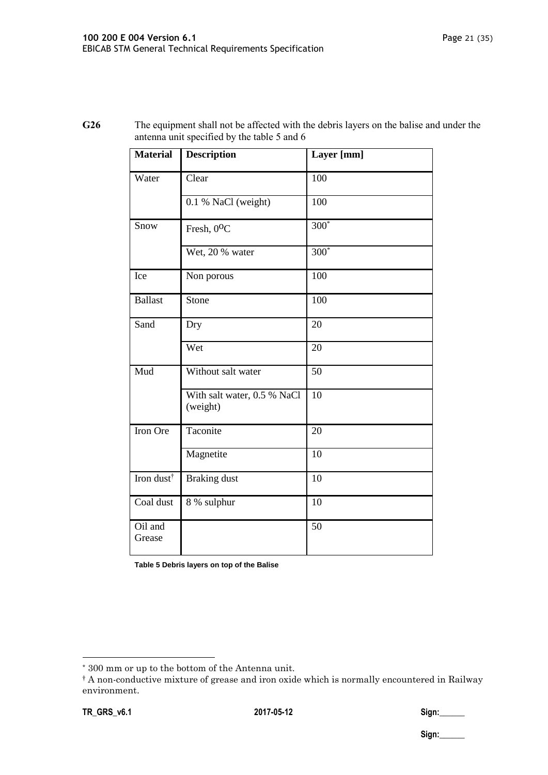| <b>Material</b>        | <b>Description</b>                      | Layer [mm] |
|------------------------|-----------------------------------------|------------|
| Water                  | Clear                                   | 100        |
|                        | 0.1 % NaCl (weight)                     | 100        |
| Snow                   | Fresh, 0°C                              | $300*$     |
|                        | Wet, 20 % water                         | $300*$     |
| Ice                    | Non porous                              | 100        |
| <b>Ballast</b>         | Stone                                   | 100        |
| Sand                   | Dry                                     | 20         |
|                        | Wet                                     | 20         |
| Mud                    | Without salt water                      | 50         |
|                        | With salt water, 0.5 % NaCl<br>(weight) | 10         |
| Iron Ore               | Taconite                                | 20         |
|                        | Magnetite                               | 10         |
| Iron dust <sup>†</sup> | <b>Braking</b> dust                     | 10         |
| Coal dust              | 8 % sulphur                             | 10         |
| Oil and<br>Grease      |                                         | 50         |

**G26** The equipment shall not be affected with the debris layers on the balise and under the antenna unit specified by the table 5 and 6

**Table 5 Debris layers on top of the Balise** 

1

<sup>\*</sup> 300 mm or up to the bottom of the Antenna unit.

<sup>†</sup> A non-conductive mixture of grease and iron oxide which is normally encountered in Railway environment.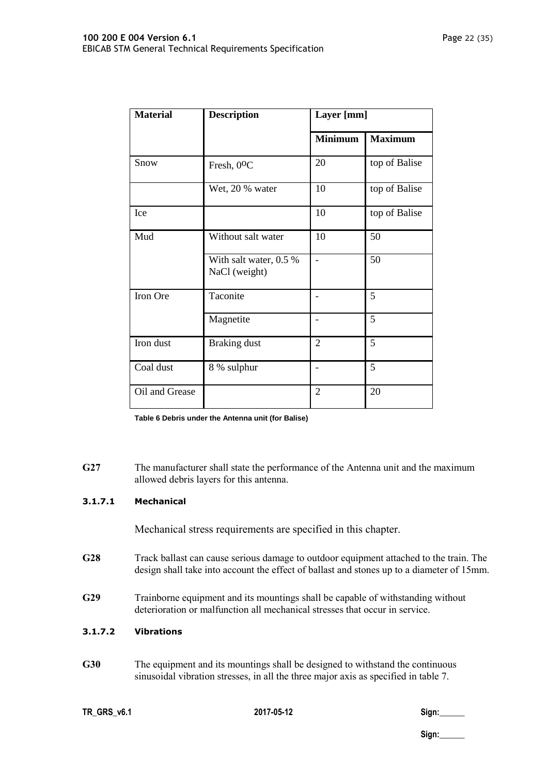| <b>Material</b> | <b>Description</b>                      |                | Layer [mm]     |
|-----------------|-----------------------------------------|----------------|----------------|
|                 |                                         | <b>Minimum</b> | <b>Maximum</b> |
| Snow            | Fresh, 0°C                              | 20             | top of Balise  |
|                 | Wet, 20 % water                         | 10             | top of Balise  |
| Ice             |                                         | 10             | top of Balise  |
| Mud             | Without salt water                      | 10             | 50             |
|                 | With salt water, 0.5 %<br>NaCl (weight) |                | 50             |
| Iron Ore        | Taconite                                |                | 5              |
|                 | Magnetite                               |                | 5              |
| Iron dust       | <b>Braking</b> dust                     | $\overline{2}$ | 5              |
| Coal dust       | 8 % sulphur                             |                | 5              |
| Oil and Grease  |                                         | $\overline{2}$ | 20             |

**Table 6 Debris under the Antenna unit (for Balise)**

**G27** The manufacturer shall state the performance of the Antenna unit and the maximum allowed debris layers for this antenna.

#### **3.1.7.1 Mechanical**

Mechanical stress requirements are specified in this chapter.

- **G28** Track ballast can cause serious damage to outdoor equipment attached to the train. The design shall take into account the effect of ballast and stones up to a diameter of 15mm.
- **G29** Trainborne equipment and its mountings shall be capable of withstanding without deterioration or malfunction all mechanical stresses that occur in service.

#### **3.1.7.2 Vibrations**

**G30** The equipment and its mountings shall be designed to withstand the continuous sinusoidal vibration stresses, in all the three major axis as specified in table 7.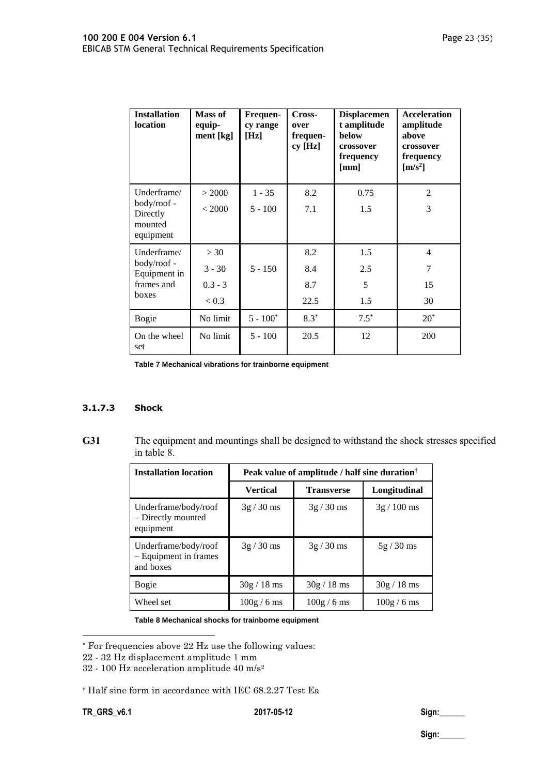| <b>Installation</b><br><b>location</b>             | <b>Mass of</b><br>equip-<br>ment [kg] | Frequen-<br>cy range<br>[Hz] | Cross-<br>over<br>frequen-<br>cy [Hz] | <b>Displacemen</b><br>t amplitude<br>below<br>crossover<br>frequency<br>[mm] | <b>Acceleration</b><br>amplitude<br>above<br>crossover<br>frequency<br>[ $m/s2$ ] |
|----------------------------------------------------|---------------------------------------|------------------------------|---------------------------------------|------------------------------------------------------------------------------|-----------------------------------------------------------------------------------|
| Underframe/                                        | > 2000                                | $1 - 35$                     | 8.2                                   | 0.75                                                                         | $\overline{2}$                                                                    |
| body/roof -<br>Directly                            | < 2000                                | $5 - 100$                    | 7.1                                   | 1.5                                                                          | 3                                                                                 |
| mounted<br>equipment                               |                                       |                              |                                       |                                                                              |                                                                                   |
| Underframe/                                        | >30                                   |                              | 8.2                                   | 1.5                                                                          | $\overline{4}$                                                                    |
| body/roof -<br>Equipment in<br>frames and<br>boxes | $3 - 30$                              | $5 - 150$                    | 8.4                                   | 2.5                                                                          | 7                                                                                 |
|                                                    | $0.3 - 3$                             |                              | 8.7                                   | 5                                                                            | 15                                                                                |
|                                                    | < 0.3                                 |                              | 22.5                                  | 1.5                                                                          | 30                                                                                |
| <b>Bogie</b>                                       | No limit                              | $5 - 100^*$                  | $8.3*$                                | $7.5^*$                                                                      | $20^*$                                                                            |
| On the wheel<br>set                                | No limit                              | $5 - 100$                    | 20.5                                  | 12                                                                           | 200                                                                               |

**Table 7 Mechanical vibrations for trainborne equipment**

#### **3.1.7.3 Shock**

**G31** The equipment and mountings shall be designed to withstand the shock stresses specified in table 8.

| <b>Installation location</b>                               | Peak value of amplitude / half sine duration <sup>†</sup> |                   |               |
|------------------------------------------------------------|-----------------------------------------------------------|-------------------|---------------|
|                                                            | <b>Vertical</b>                                           | <b>Transverse</b> | Longitudinal  |
| Underframe/body/roof<br>- Directly mounted<br>equipment    | $3g/30$ ms                                                | $3g / 30$ ms      | $3g / 100$ ms |
| Underframe/body/roof<br>- Equipment in frames<br>and boxes | $3g/30$ ms                                                | $3g/30$ ms        | $5g/30$ ms    |
| Bogie                                                      | $30g/18$ ms                                               | $30g/18$ ms       | $30g / 18$ ms |
| Wheel set                                                  | $100g/6$ ms                                               | $100g/6$ ms       | $100g/6$ ms   |

**Table 8 Mechanical shocks for trainborne equipment**

1

<sup>\*</sup> For frequencies above 22 Hz use the following values:

<sup>22 -</sup> 32 Hz displacement amplitude 1 mm

<sup>32 -</sup> 100 Hz acceleration amplitude 40 m/s<sup>2</sup>

<sup>†</sup> Half sine form in accordance with IEC 68.2.27 Test Ea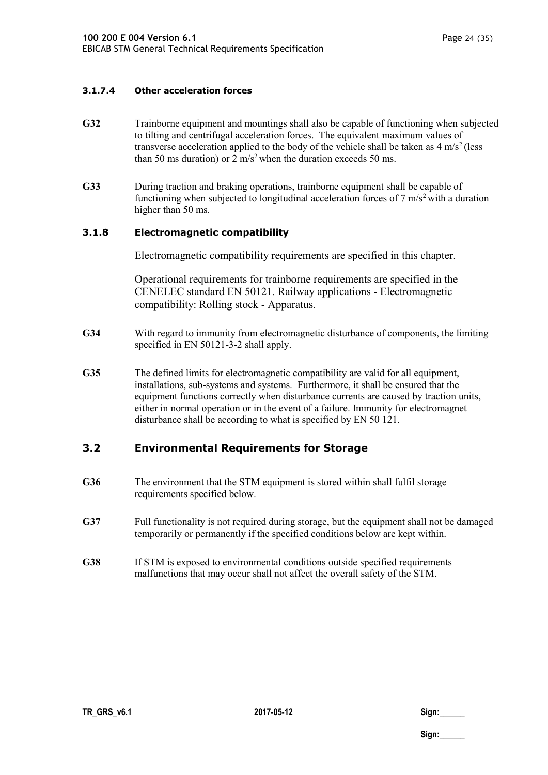#### **3.1.7.4 Other acceleration forces**

- **G32** Trainborne equipment and mountings shall also be capable of functioning when subjected to tilting and centrifugal acceleration forces. The equivalent maximum values of transverse acceleration applied to the body of the vehicle shall be taken as  $4 \text{ m/s}^2$  (less than 50 ms duration) or  $2 \text{ m/s}^2$  when the duration exceeds 50 ms.
- **G33** During traction and braking operations, trainborne equipment shall be capable of functioning when subjected to longitudinal acceleration forces of  $7 \text{ m/s}^2$  with a duration higher than 50 ms.

#### **3.1.8 Electromagnetic compatibility**

Electromagnetic compatibility requirements are specified in this chapter.

Operational requirements for trainborne requirements are specified in the CENELEC standard EN 50121. Railway applications - Electromagnetic compatibility: Rolling stock - Apparatus.

- **G34** With regard to immunity from electromagnetic disturbance of components, the limiting specified in EN 50121-3-2 shall apply.
- **G35** The defined limits for electromagnetic compatibility are valid for all equipment, installations, sub-systems and systems. Furthermore, it shall be ensured that the equipment functions correctly when disturbance currents are caused by traction units, either in normal operation or in the event of a failure. Immunity for electromagnet disturbance shall be according to what is specified by EN 50 121.

#### **3.2 Environmental Requirements for Storage**

- **G36** The environment that the STM equipment is stored within shall fulfil storage requirements specified below.
- **G37** Full functionality is not required during storage, but the equipment shall not be damaged temporarily or permanently if the specified conditions below are kept within.
- **G38** If STM is exposed to environmental conditions outside specified requirements malfunctions that may occur shall not affect the overall safety of the STM.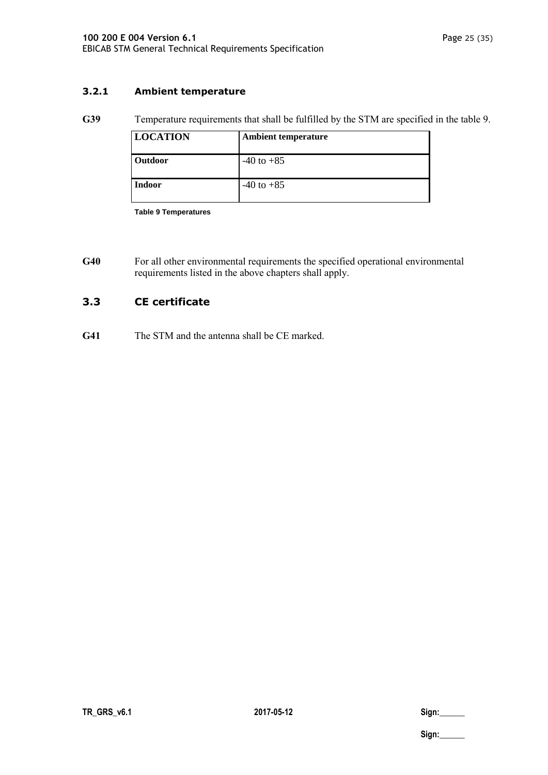#### **3.2.1 Ambient temperature**

**G39** Temperature requirements that shall be fulfilled by the STM are specified in the table 9.

| <b>LOCATION</b> | <b>Ambient temperature</b> |
|-----------------|----------------------------|
| <b>Outdoor</b>  | $-40$ to $+85$             |
| <b>Indoor</b>   | $-40$ to $+85$             |

**Table 9 Temperatures**

**G40** For all other environmental requirements the specified operational environmental requirements listed in the above chapters shall apply.

### **3.3 CE certificate**

**G41** The STM and the antenna shall be CE marked.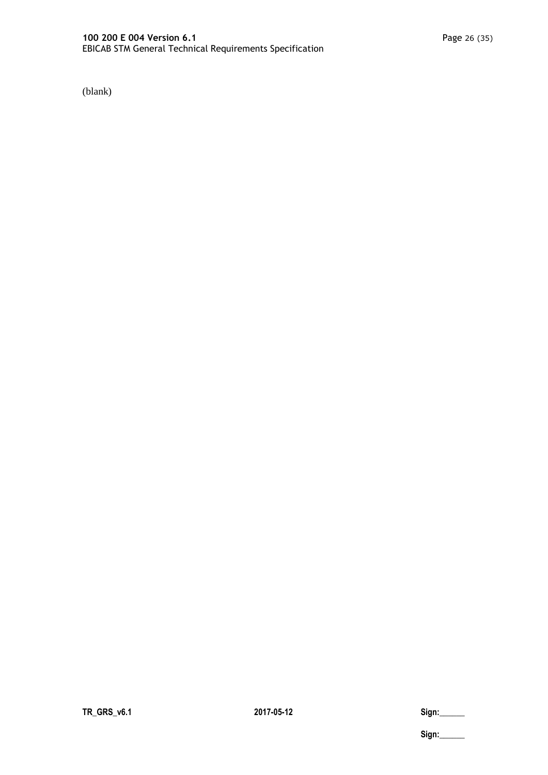(blank)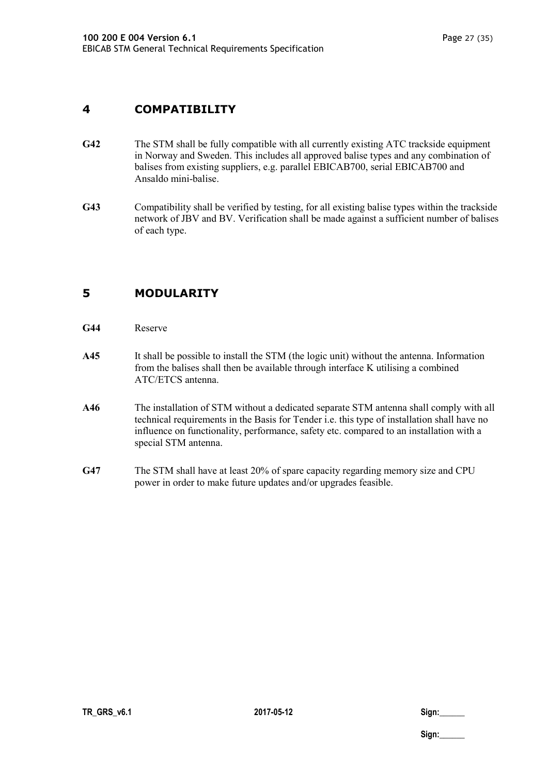#### **4 COMPATIBILITY**

- **G42** The STM shall be fully compatible with all currently existing ATC trackside equipment in Norway and Sweden. This includes all approved balise types and any combination of balises from existing suppliers, e.g. parallel EBICAB700, serial EBICAB700 and Ansaldo mini-balise.
- **G43** Compatibility shall be verified by testing, for all existing balise types within the trackside network of JBV and BV. Verification shall be made against a sufficient number of balises of each type.

## **5 MODULARITY**

- **G44** Reserve
- **A45** It shall be possible to install the STM (the logic unit) without the antenna. Information from the balises shall then be available through interface K utilising a combined ATC/ETCS antenna.
- **A46** The installation of STM without a dedicated separate STM antenna shall comply with all technical requirements in the Basis for Tender i.e. this type of installation shall have no influence on functionality, performance, safety etc. compared to an installation with a special STM antenna.
- **G47** The STM shall have at least 20% of spare capacity regarding memory size and CPU power in order to make future updates and/or upgrades feasible.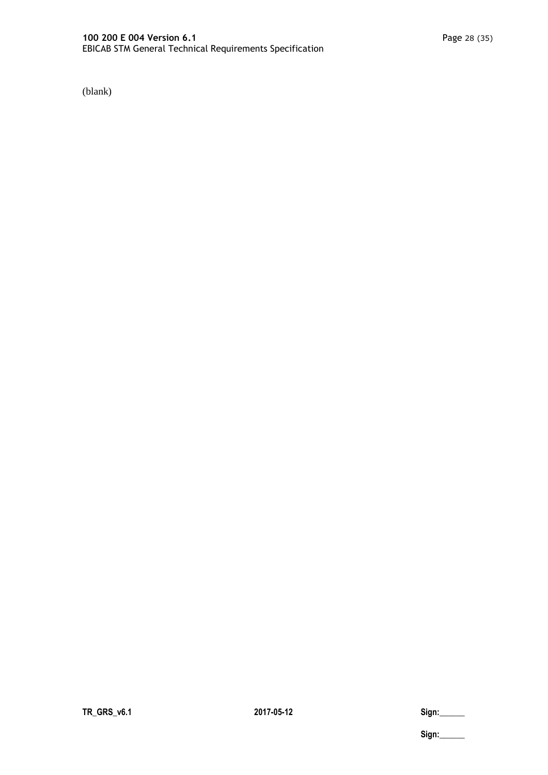(blank)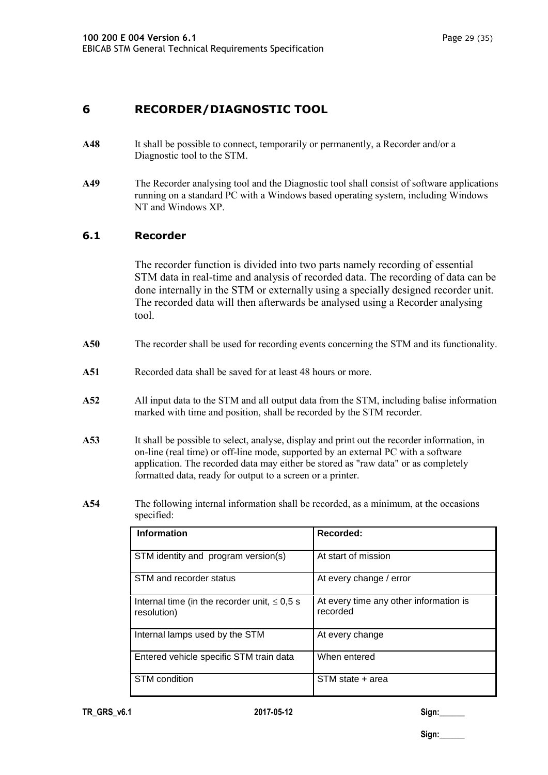## **6 RECORDER/DIAGNOSTIC TOOL**

- **A48** It shall be possible to connect, temporarily or permanently, a Recorder and/or a Diagnostic tool to the STM.
- **A49** The Recorder analysing tool and the Diagnostic tool shall consist of software applications running on a standard PC with a Windows based operating system, including Windows NT and Windows XP.

### **6.1 Recorder**

The recorder function is divided into two parts namely recording of essential STM data in real-time and analysis of recorded data. The recording of data can be done internally in the STM or externally using a specially designed recorder unit. The recorded data will then afterwards be analysed using a Recorder analysing tool.

- **A50** The recorder shall be used for recording events concerning the STM and its functionality.
- **A51** Recorded data shall be saved for at least 48 hours or more.
- **A52** All input data to the STM and all output data from the STM, including balise information marked with time and position, shall be recorded by the STM recorder.
- **A53** It shall be possible to select, analyse, display and print out the recorder information, in on-line (real time) or off-line mode, supported by an external PC with a software application. The recorded data may either be stored as "raw data" or as completely formatted data, ready for output to a screen or a printer.
- **A54** The following internal information shall be recorded, as a minimum, at the occasions specified:

| <b>Information</b>                                               | Recorded:                                          |
|------------------------------------------------------------------|----------------------------------------------------|
| STM identity and program version(s)                              | At start of mission                                |
| STM and recorder status                                          | At every change / error                            |
| Internal time (in the recorder unit, $\leq 0.5$ s<br>resolution) | At every time any other information is<br>recorded |
| Internal lamps used by the STM                                   | At every change                                    |
| Entered vehicle specific STM train data                          | When entered                                       |
| STM condition                                                    | STM state + area                                   |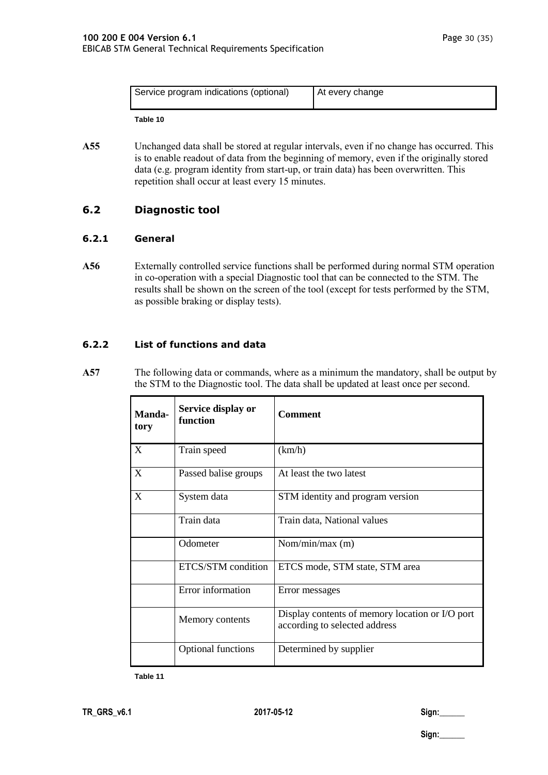| Service program indications (optional) | At every change |
|----------------------------------------|-----------------|
|----------------------------------------|-----------------|

**Table 10**

**A55** Unchanged data shall be stored at regular intervals, even if no change has occurred. This is to enable readout of data from the beginning of memory, even if the originally stored data (e.g. program identity from start-up, or train data) has been overwritten. This repetition shall occur at least every 15 minutes.

## **6.2 Diagnostic tool**

#### **6.2.1 General**

**A56** Externally controlled service functions shall be performed during normal STM operation in co-operation with a special Diagnostic tool that can be connected to the STM. The results shall be shown on the screen of the tool (except for tests performed by the STM, as possible braking or display tests).

#### **6.2.2 List of functions and data**

**A57** The following data or commands, where as a minimum the mandatory, shall be output by the STM to the Diagnostic tool. The data shall be updated at least once per second.

| <b>Manda-</b><br>tory | Service display or<br>function | <b>Comment</b>                                                                   |
|-----------------------|--------------------------------|----------------------------------------------------------------------------------|
| X                     | Train speed                    | (km/h)                                                                           |
| X                     | Passed balise groups           | At least the two latest                                                          |
| $\boldsymbol{X}$      | System data                    | STM identity and program version                                                 |
|                       | Train data                     | Train data, National values                                                      |
|                       | Odometer                       | Nom/min/max (m)                                                                  |
|                       | ETCS/STM condition             | ETCS mode, STM state, STM area                                                   |
|                       | Error information              | Error messages                                                                   |
|                       | Memory contents                | Display contents of memory location or I/O port<br>according to selected address |
|                       | Optional functions             | Determined by supplier                                                           |

**Table 11**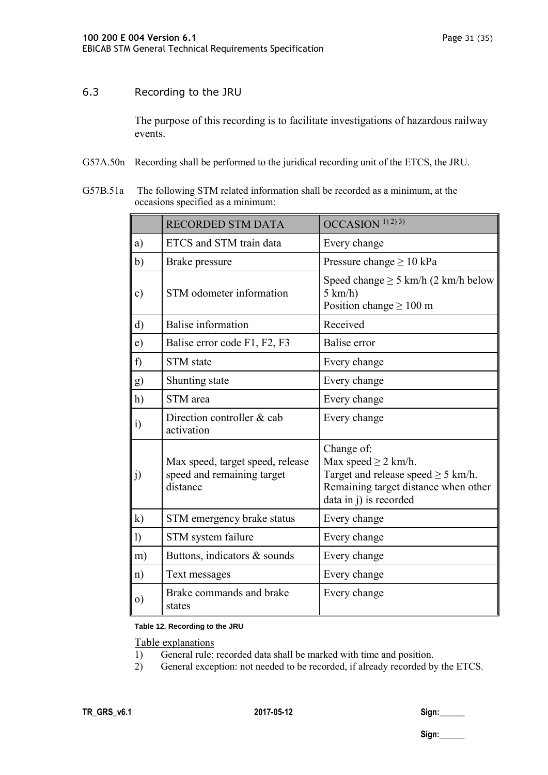#### 6.3 Recording to the JRU

The purpose of this recording is to facilitate investigations of hazardous railway events.

- G57A.50n Recording shall be performed to the juridical recording unit of the ETCS, the JRU.
- G57B.51a The following STM related information shall be recorded as a minimum, at the occasions specified as a minimum:

|              | <b>RECORDED STM DATA</b>                                                   | OCCASION <sup>1)2)3)</sup>                                                                                                                          |
|--------------|----------------------------------------------------------------------------|-----------------------------------------------------------------------------------------------------------------------------------------------------|
| a)           | ETCS and STM train data                                                    | Every change                                                                                                                                        |
| b)           | Brake pressure                                                             | Pressure change $\geq 10$ kPa                                                                                                                       |
| c)           | STM odometer information                                                   | Speed change $\geq$ 5 km/h (2 km/h below<br>$5 km/h$ )<br>Position change $\geq 100$ m                                                              |
| d)           | <b>Balise</b> information                                                  | Received                                                                                                                                            |
| e)           | Balise error code F1, F2, F3                                               | Balise error                                                                                                                                        |
| f)           | <b>STM</b> state                                                           | Every change                                                                                                                                        |
| g)           | Shunting state                                                             | Every change                                                                                                                                        |
| h)           | STM area                                                                   | Every change                                                                                                                                        |
| $\ddot{1}$   | Direction controller & cab<br>activation                                   | Every change                                                                                                                                        |
| j)           | Max speed, target speed, release<br>speed and remaining target<br>distance | Change of:<br>Max speed $\geq$ 2 km/h.<br>Target and release speed $\geq$ 5 km/h.<br>Remaining target distance when other<br>data in j) is recorded |
| $\bf k)$     | STM emergency brake status                                                 | Every change                                                                                                                                        |
| $\mathbf{I}$ | STM system failure                                                         | Every change                                                                                                                                        |
| m)           | Buttons, indicators & sounds                                               | Every change                                                                                                                                        |
| n)           | Text messages                                                              | Every change                                                                                                                                        |
| $\circ$ )    | Brake commands and brake<br>states                                         | Every change                                                                                                                                        |

#### **Table 12. Recording to the JRU**

Table explanations

- 1) General rule: recorded data shall be marked with time and position.
- 2) General exception: not needed to be recorded, if already recorded by the ETCS.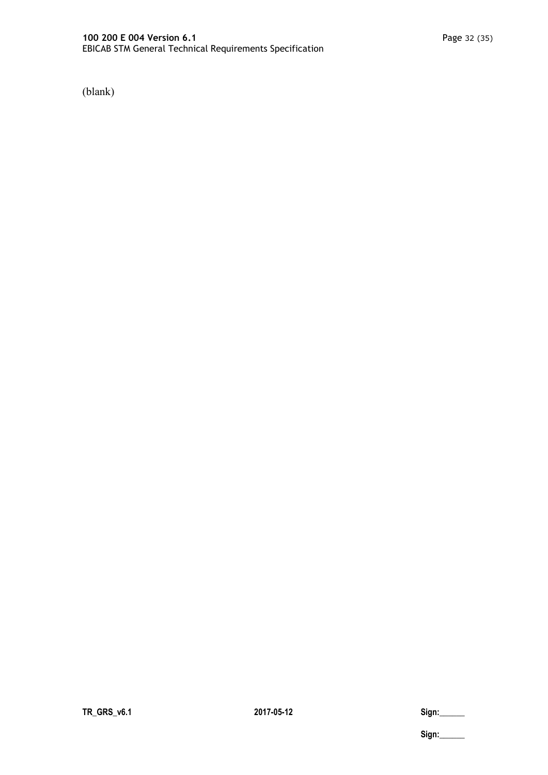(blank)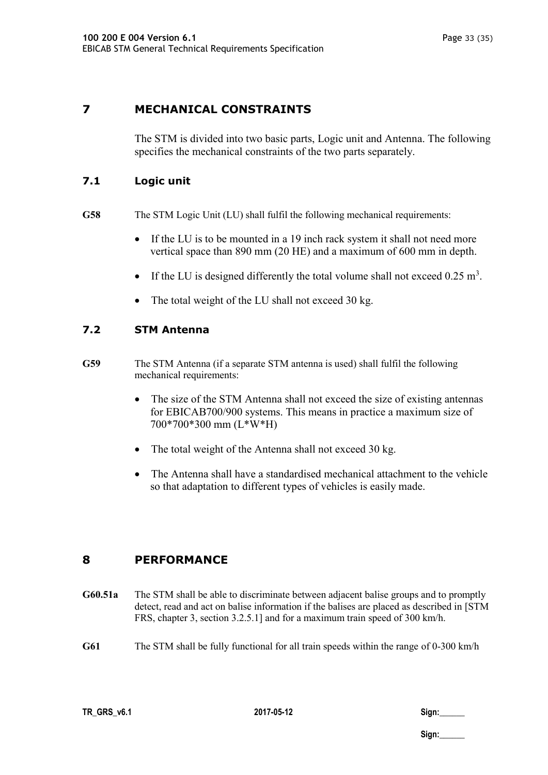## **7 MECHANICAL CONSTRAINTS**

The STM is divided into two basic parts, Logic unit and Antenna. The following specifies the mechanical constraints of the two parts separately.

### **7.1 Logic unit**

**G58** The STM Logic Unit (LU) shall fulfil the following mechanical requirements:

- If the LU is to be mounted in a 19 inch rack system it shall not need more vertical space than 890 mm (20 HE) and a maximum of 600 mm in depth.
- If the LU is designed differently the total volume shall not exceed  $0.25 \text{ m}^3$ .
- The total weight of the LU shall not exceed 30 kg.

## **7.2 STM Antenna**

- **G59** The STM Antenna (if a separate STM antenna is used) shall fulfil the following mechanical requirements:
	- The size of the STM Antenna shall not exceed the size of existing antennas for EBICAB700/900 systems. This means in practice a maximum size of 700\*700\*300 mm (L\*W\*H)
	- The total weight of the Antenna shall not exceed 30 kg.
	- The Antenna shall have a standardised mechanical attachment to the vehicle so that adaptation to different types of vehicles is easily made.

## **8 PERFORMANCE**

- **G60.51a** The STM shall be able to discriminate between adjacent balise groups and to promptly detect, read and act on balise information if the balises are placed as described in [STM FRS, chapter 3, section 3.2.5.1] and for a maximum train speed of 300 km/h.
- **G61** The STM shall be fully functional for all train speeds within the range of 0-300 km/h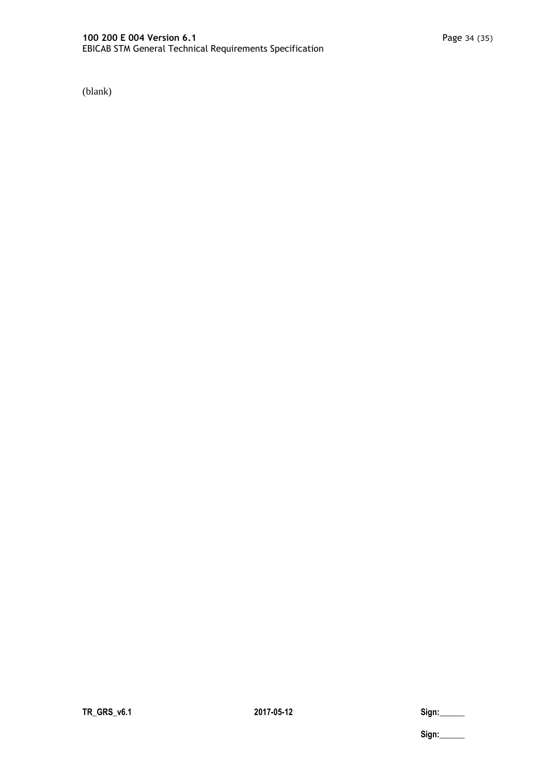(blank)